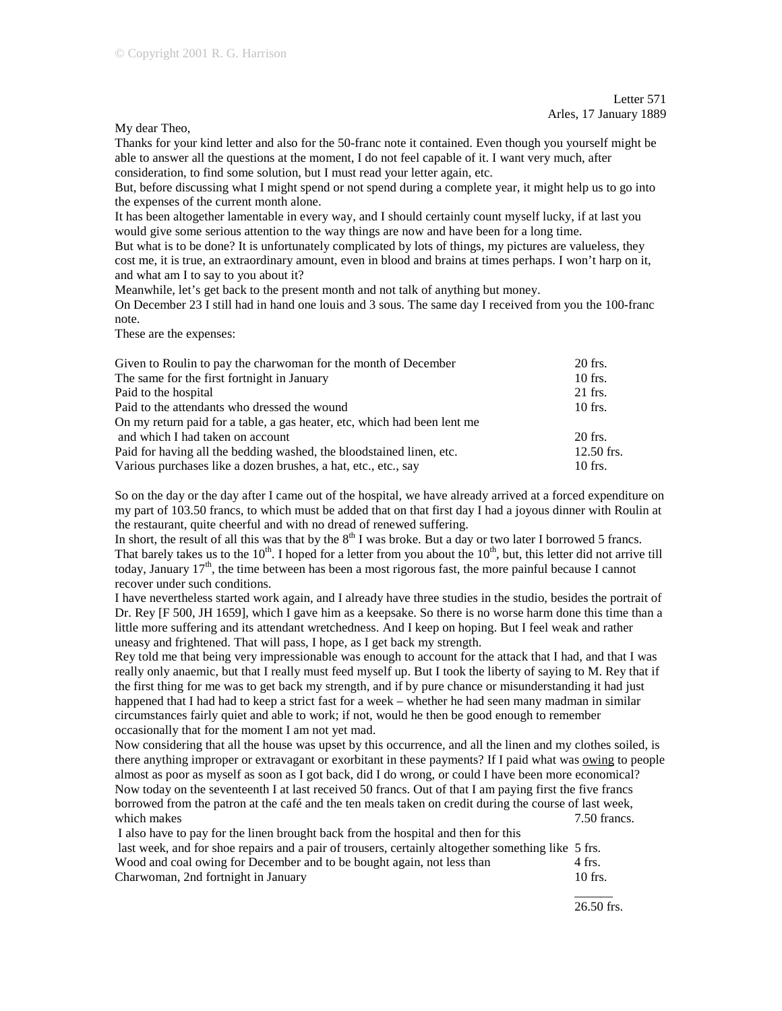My dear Theo,

Thanks for your kind letter and also for the 50-franc note it contained. Even though you yourself might be able to answer all the questions at the moment, I do not feel capable of it. I want very much, after consideration, to find some solution, but I must read your letter again, etc.

But, before discussing what I might spend or not spend during a complete year, it might help us to go into the expenses of the current month alone.

It has been altogether lamentable in every way, and I should certainly count myself lucky, if at last you would give some serious attention to the way things are now and have been for a long time.

But what is to be done? It is unfortunately complicated by lots of things, my pictures are valueless, they cost me, it is true, an extraordinary amount, even in blood and brains at times perhaps. I won't harp on it, and what am I to say to you about it?

Meanwhile, let's get back to the present month and not talk of anything but money.

On December 23 I still had in hand one louis and 3 sous. The same day I received from you the 100-franc note.

These are the expenses:

| Given to Roulin to pay the charwoman for the month of December           | 20 frs.      |
|--------------------------------------------------------------------------|--------------|
| The same for the first fort night in January                             | $10$ frs.    |
| Paid to the hospital                                                     | 21 frs.      |
| Paid to the attendants who dressed the wound                             | $10$ frs.    |
| On my return paid for a table, a gas heater, etc, which had been lent me |              |
| and which I had taken on account                                         | 20 frs.      |
| Paid for having all the bedding washed, the bloodstained linen, etc.     | $12.50$ frs. |
| Various purchases like a dozen brushes, a hat, etc., etc., say           | $10$ frs.    |

So on the day or the day after I came out of the hospital, we have already arrived at a forced expenditure on my part of 103.50 francs, to which must be added that on that first day I had a joyous dinner with Roulin at the restaurant, quite cheerful and with no dread of renewed suffering.

In short, the result of all this was that by the  $8<sup>th</sup>$  I was broke. But a day or two later I borrowed 5 francs. That barely takes us to the  $10^{th}$ . I hoped for a letter from you about the  $10^{th}$ , but, this letter did not arrive till today, January  $17<sup>th</sup>$ , the time between has been a most rigorous fast, the more painful because I cannot recover under such conditions.

I have nevertheless started work again, and I already have three studies in the studio, besides the portrait of Dr. Rey [F 500, JH 1659], which I gave him as a keepsake. So there is no worse harm done this time than a little more suffering and its attendant wretchedness. And I keep on hoping. But I feel weak and rather uneasy and frightened. That will pass, I hope, as I get back my strength.

Rey told me that being very impressionable was enough to account for the attack that I had, and that I was really only anaemic, but that I really must feed myself up. But I took the liberty of saying to M. Rey that if the first thing for me was to get back my strength, and if by pure chance or misunderstanding it had just happened that I had had to keep a strict fast for a week – whether he had seen many madman in similar circumstances fairly quiet and able to work; if not, would he then be good enough to remember occasionally that for the moment I am not yet mad.

Now considering that all the house was upset by this occurrence, and all the linen and my clothes soiled, is there anything improper or extravagant or exorbitant in these payments? If I paid what was owing to people almost as poor as myself as soon as I got back, did I do wrong, or could I have been more economical? Now today on the seventeenth I at last received 50 francs. Out of that I am paying first the five francs borrowed from the patron at the café and the ten meals taken on credit during the course of last week, which makes 7.50 francs.

| Charwoman, 2nd fortnight in January                                                                | $10$ frs. |
|----------------------------------------------------------------------------------------------------|-----------|
| Wood and coal owing for December and to be bought again, not less than                             | 4 frs.    |
| last week, and for shoe repairs and a pair of trousers, certainly altogether something like 5 frs. |           |
| I also have to pay for the linen brought back from the hospital and then for this                  |           |

26.50 frs.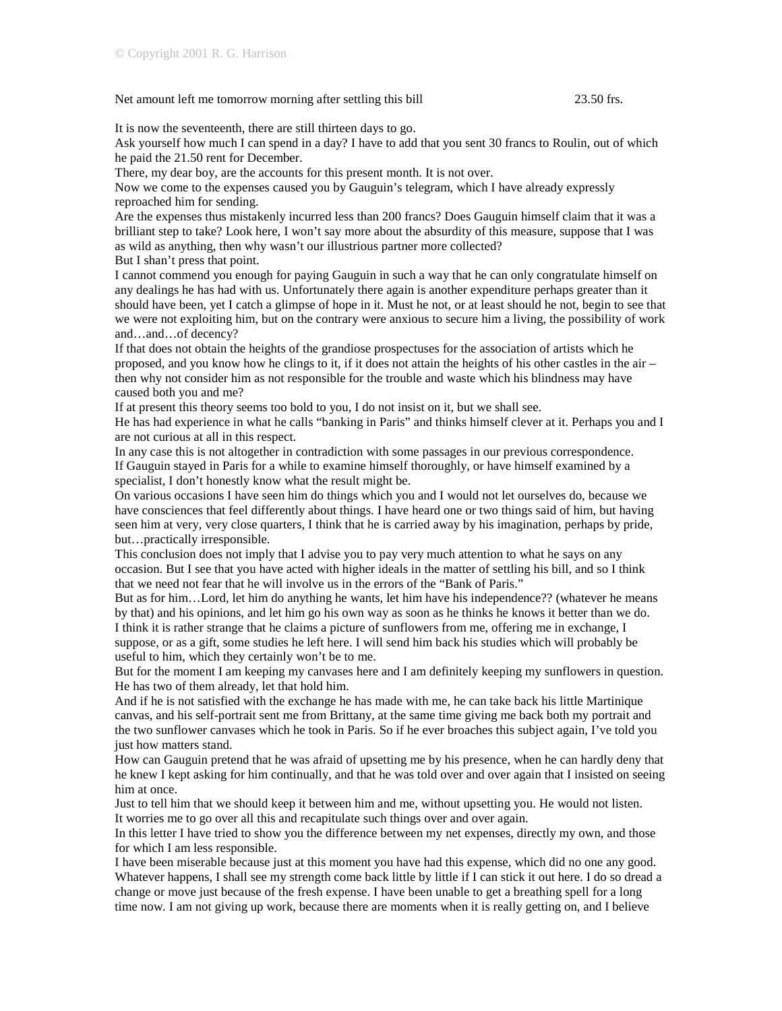Net amount left me tomorrow morning after settling this bill 23.50 frs.

It is now the seventeenth, there are still thirteen days to go.

Ask yourself how much I can spend in a day? I have to add that you sent 30 francs to Roulin, out of which he paid the 21.50 rent for December.

There, my dear boy, are the accounts for this present month. It is not over.

Now we come to the expenses caused you by Gauguin's telegram, which I have already expressly reproached him for sending.

Are the expenses thus mistakenly incurred less than 200 francs? Does Gauguin himself claim that it was a brilliant step to take? Look here, I won't say more about the absurdity of this measure, suppose that I was as wild as anything, then why wasn't our illustrious partner more collected?

But I shan't press that point.

I cannot commend you enough for paying Gauguin in such a way that he can only congratulate himself on any dealings he has had with us. Unfortunately there again is another expenditure perhaps greater than it should have been, yet I catch a glimpse of hope in it. Must he not, or at least should he not, begin to see that we were not exploiting him, but on the contrary were anxious to secure him a living, the possibility of work and…and…of decency?

If that does not obtain the heights of the grandiose prospectuses for the association of artists which he proposed, and you know how he clings to it, if it does not attain the heights of his other castles in the air – then why not consider him as not responsible for the trouble and waste which his blindness may have caused both you and me?

If at present this theory seems too bold to you, I do not insist on it, but we shall see.

He has had experience in what he calls "banking in Paris" and thinks himself clever at it. Perhaps you and I are not curious at all in this respect.

In any case this is not altogether in contradiction with some passages in our previous correspondence. If Gauguin stayed in Paris for a while to examine himself thoroughly, or have himself examined by a specialist, I don't honestly know what the result might be.

On various occasions I have seen him do things which you and I would not let ourselves do, because we have consciences that feel differently about things. I have heard one or two things said of him, but having seen him at very, very close quarters, I think that he is carried away by his imagination, perhaps by pride, but…practically irresponsible.

This conclusion does not imply that I advise you to pay very much attention to what he says on any occasion. But I see that you have acted with higher ideals in the matter of settling his bill, and so I think that we need not fear that he will involve us in the errors of the "Bank of Paris."

But as for him…Lord, let him do anything he wants, let him have his independence?? (whatever he means by that) and his opinions, and let him go his own way as soon as he thinks he knows it better than we do. I think it is rather strange that he claims a picture of sunflowers from me, offering me in exchange, I suppose, or as a gift, some studies he left here. I will send him back his studies which will probably be useful to him, which they certainly won't be to me.

But for the moment I am keeping my canvases here and I am definitely keeping my sunflowers in question. He has two of them already, let that hold him.

And if he is not satisfied with the exchange he has made with me, he can take back his little Martinique canvas, and his self-portrait sent me from Brittany, at the same time giving me back both my portrait and the two sunflower canvases which he took in Paris. So if he ever broaches this subject again, I've told you just how matters stand.

How can Gauguin pretend that he was afraid of upsetting me by his presence, when he can hardly deny that he knew I kept asking for him continually, and that he was told over and over again that I insisted on seeing him at once.

Just to tell him that we should keep it between him and me, without upsetting you. He would not listen. It worries me to go over all this and recapitulate such things over and over again.

In this letter I have tried to show you the difference between my net expenses, directly my own, and those for which I am less responsible.

I have been miserable because just at this moment you have had this expense, which did no one any good. Whatever happens, I shall see my strength come back little by little if I can stick it out here. I do so dread a change or move just because of the fresh expense. I have been unable to get a breathing spell for a long time now. I am not giving up work, because there are moments when it is really getting on, and I believe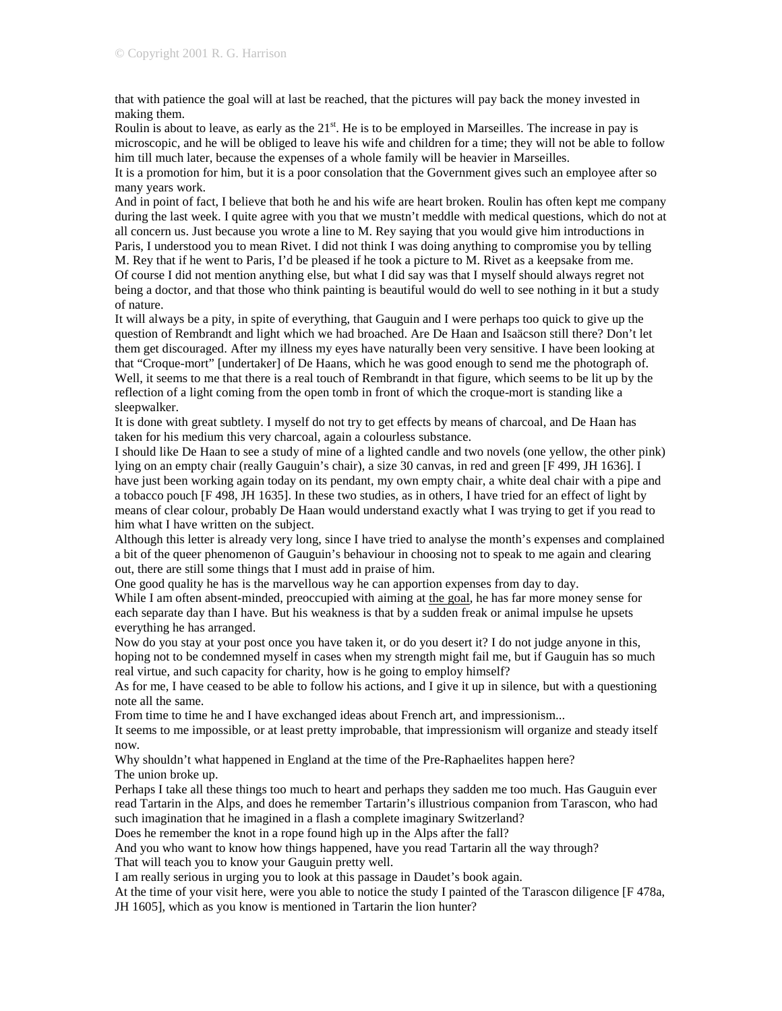that with patience the goal will at last be reached, that the pictures will pay back the money invested in making them.

Roulin is about to leave, as early as the  $21<sup>st</sup>$ . He is to be employed in Marseilles. The increase in pay is microscopic, and he will be obliged to leave his wife and children for a time; they will not be able to follow him till much later, because the expenses of a whole family will be heavier in Marseilles.

It is a promotion for him, but it is a poor consolation that the Government gives such an employee after so many years work.

And in point of fact, I believe that both he and his wife are heart broken. Roulin has often kept me company during the last week. I quite agree with you that we mustn't meddle with medical questions, which do not at all concern us. Just because you wrote a line to M. Rey saying that you would give him introductions in Paris, I understood you to mean Rivet. I did not think I was doing anything to compromise you by telling M. Rey that if he went to Paris, I'd be pleased if he took a picture to M. Rivet as a keepsake from me. Of course I did not mention anything else, but what I did say was that I myself should always regret not being a doctor, and that those who think painting is beautiful would do well to see nothing in it but a study of nature.

It will always be a pity, in spite of everything, that Gauguin and I were perhaps too quick to give up the question of Rembrandt and light which we had broached. Are De Haan and Isaäcson still there? Don't let them get discouraged. After my illness my eyes have naturally been very sensitive. I have been looking at that "Croque-mort" [undertaker] of De Haans, which he was good enough to send me the photograph of. Well, it seems to me that there is a real touch of Rembrandt in that figure, which seems to be lit up by the reflection of a light coming from the open tomb in front of which the croque-mort is standing like a sleepwalker.

It is done with great subtlety. I myself do not try to get effects by means of charcoal, and De Haan has taken for his medium this very charcoal, again a colourless substance.

I should like De Haan to see a study of mine of a lighted candle and two novels (one yellow, the other pink) lying on an empty chair (really Gauguin's chair), a size 30 canvas, in red and green [F 499, JH 1636]. I have just been working again today on its pendant, my own empty chair, a white deal chair with a pipe and a tobacco pouch [F 498, JH 1635]. In these two studies, as in others, I have tried for an effect of light by means of clear colour, probably De Haan would understand exactly what I was trying to get if you read to him what I have written on the subject.

Although this letter is already very long, since I have tried to analyse the month's expenses and complained a bit of the queer phenomenon of Gauguin's behaviour in choosing not to speak to me again and clearing out, there are still some things that I must add in praise of him.

One good quality he has is the marvellous way he can apportion expenses from day to day.

While I am often absent-minded, preoccupied with aiming at the goal, he has far more money sense for each separate day than I have. But his weakness is that by a sudden freak or animal impulse he upsets everything he has arranged.

Now do you stay at your post once you have taken it, or do you desert it? I do not judge anyone in this, hoping not to be condemned myself in cases when my strength might fail me, but if Gauguin has so much real virtue, and such capacity for charity, how is he going to employ himself?

As for me, I have ceased to be able to follow his actions, and I give it up in silence, but with a questioning note all the same.

From time to time he and I have exchanged ideas about French art, and impressionism...

It seems to me impossible, or at least pretty improbable, that impressionism will organize and steady itself now.

Why shouldn't what happened in England at the time of the Pre-Raphaelites happen here? The union broke up.

Perhaps I take all these things too much to heart and perhaps they sadden me too much. Has Gauguin ever read Tartarin in the Alps, and does he remember Tartarin's illustrious companion from Tarascon, who had such imagination that he imagined in a flash a complete imaginary Switzerland?

Does he remember the knot in a rope found high up in the Alps after the fall?

And you who want to know how things happened, have you read Tartarin all the way through? That will teach you to know your Gauguin pretty well.

I am really serious in urging you to look at this passage in Daudet's book again.

At the time of your visit here, were you able to notice the study I painted of the Tarascon diligence [F 478a, JH 1605], which as you know is mentioned in Tartarin the lion hunter?